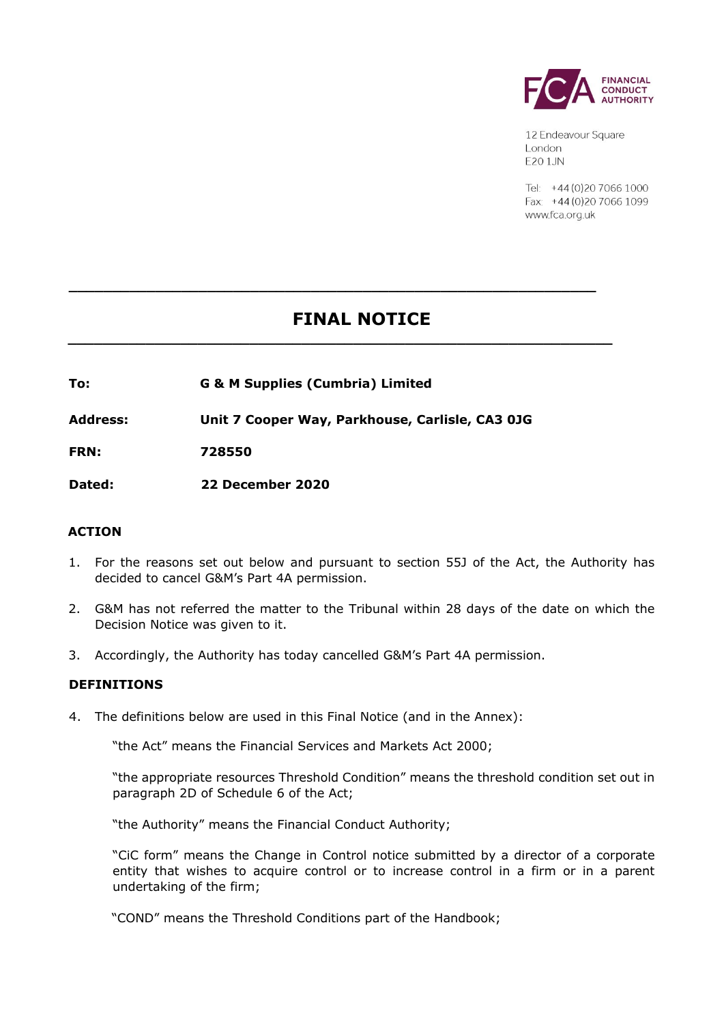

12 Endeavour Square London E201JN

Tel: +44 (0) 20 7066 1000 Fax: +44 (0) 20 7066 1099 www.fca.org.uk

# **FINAL NOTICE**

**\_\_\_\_\_\_\_\_\_\_\_\_\_\_\_\_\_\_\_\_\_\_\_\_\_\_\_\_\_\_\_\_\_\_\_\_\_\_\_\_\_\_\_\_\_\_\_\_\_\_\_\_\_\_\_\_\_\_\_\_\_** 

**\_\_\_\_\_\_\_\_\_\_\_\_\_\_\_\_\_\_\_\_\_\_\_\_\_\_\_\_\_\_\_\_\_\_\_\_\_\_\_\_\_\_\_\_\_\_\_\_\_\_\_\_\_\_\_\_\_\_\_\_\_\_\_** 

**To: G & M Supplies (Cumbria) Limited** 

**Address: Unit 7 Cooper Way, Parkhouse, Carlisle, CA3 0JG**

**FRN: 728550** 

**Dated: 22 December 2020** 

## **ACTION**

- 1. For the reasons set out below and pursuant to section 55J of the Act, the Authority has decided to cancel G&M's Part 4A permission.
- 2. G&M has not referred the matter to the Tribunal within 28 days of the date on which the Decision Notice was given to it.
- 3. Accordingly, the Authority has today cancelled G&M's Part 4A permission.

## **DEFINITIONS**

4. The definitions below are used in this Final Notice (and in the Annex):

"the Act" means the Financial Services and Markets Act 2000;

"the appropriate resources Threshold Condition" means the threshold condition set out in paragraph 2D of Schedule 6 of the Act;

"the Authority" means the Financial Conduct Authority;

"CiC form" means the Change in Control notice submitted by a director of a corporate entity that wishes to acquire control or to increase control in a firm or in a parent undertaking of the firm;

"COND" means the Threshold Conditions part of the Handbook;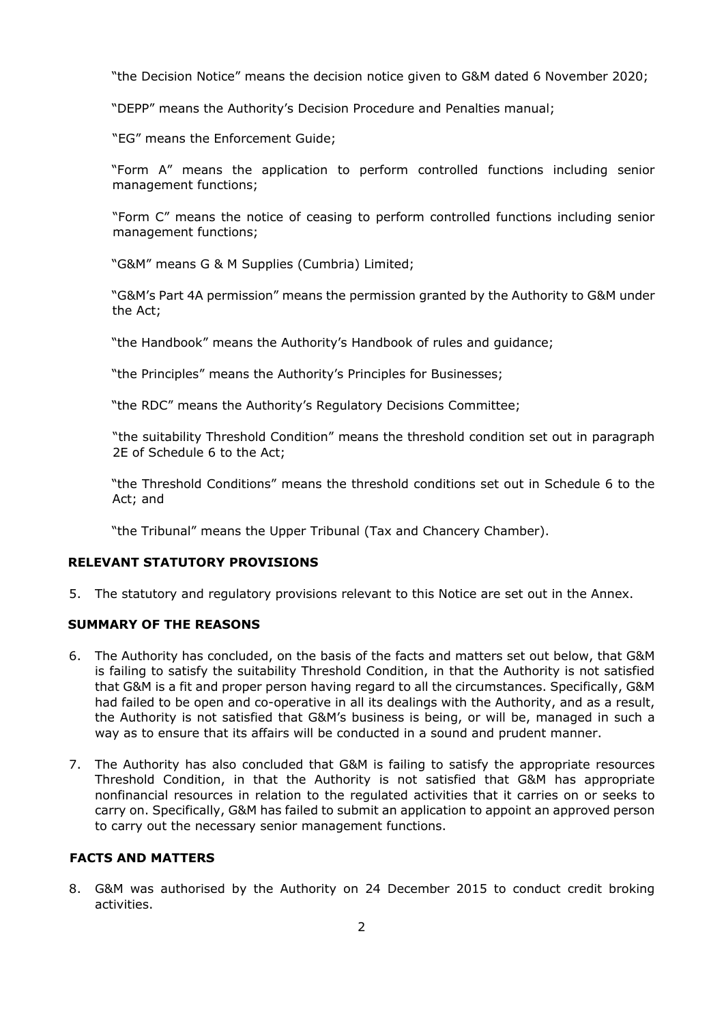"the Decision Notice" means the decision notice given to G&M dated 6 November 2020;

"DEPP" means the Authority's Decision Procedure and Penalties manual;

"EG" means the Enforcement Guide;

"Form A" means the application to perform controlled functions including senior management functions;

"Form C" means the notice of ceasing to perform controlled functions including senior management functions;

"G&M" means G & M Supplies (Cumbria) Limited;

"G&M's Part 4A permission" means the permission granted by the Authority to G&M under the Act;

"the Handbook" means the Authority's Handbook of rules and guidance;

"the Principles" means the Authority's Principles for Businesses;

"the RDC" means the Authority's Regulatory Decisions Committee;

"the suitability Threshold Condition" means the threshold condition set out in paragraph 2E of Schedule 6 to the Act;

"the Threshold Conditions" means the threshold conditions set out in Schedule 6 to the Act; and

"the Tribunal" means the Upper Tribunal (Tax and Chancery Chamber).

#### **RELEVANT STATUTORY PROVISIONS**

5. The statutory and regulatory provisions relevant to this Notice are set out in the Annex.

#### **SUMMARY OF THE REASONS**

- 6. The Authority has concluded, on the basis of the facts and matters set out below, that G&M is failing to satisfy the suitability Threshold Condition, in that the Authority is not satisfied that G&M is a fit and proper person having regard to all the circumstances. Specifically, G&M had failed to be open and co-operative in all its dealings with the Authority, and as a result, the Authority is not satisfied that G&M's business is being, or will be, managed in such a way as to ensure that its affairs will be conducted in a sound and prudent manner.
- 7. The Authority has also concluded that G&M is failing to satisfy the appropriate resources Threshold Condition, in that the Authority is not satisfied that G&M has appropriate nonfinancial resources in relation to the regulated activities that it carries on or seeks to carry on. Specifically, G&M has failed to submit an application to appoint an approved person to carry out the necessary senior management functions.

## **FACTS AND MATTERS**

8. G&M was authorised by the Authority on 24 December 2015 to conduct credit broking activities.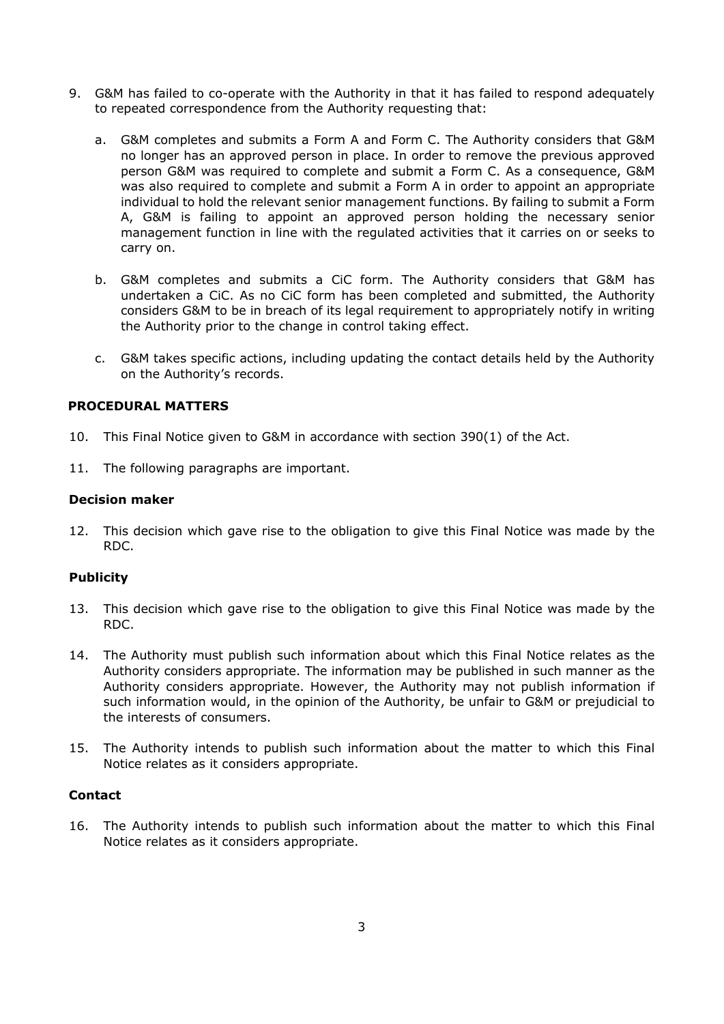- 9. G&M has failed to co-operate with the Authority in that it has failed to respond adequately to repeated correspondence from the Authority requesting that:
	- a. G&M completes and submits a Form A and Form C. The Authority considers that G&M no longer has an approved person in place. In order to remove the previous approved person G&M was required to complete and submit a Form C. As a consequence, G&M was also required to complete and submit a Form A in order to appoint an appropriate individual to hold the relevant senior management functions. By failing to submit a Form A, G&M is failing to appoint an approved person holding the necessary senior management function in line with the regulated activities that it carries on or seeks to carry on.
	- b. G&M completes and submits a CiC form. The Authority considers that G&M has undertaken a CiC. As no CiC form has been completed and submitted, the Authority considers G&M to be in breach of its legal requirement to appropriately notify in writing the Authority prior to the change in control taking effect.
	- c. G&M takes specific actions, including updating the contact details held by the Authority on the Authority's records.

#### **PROCEDURAL MATTERS**

- 10. This Final Notice given to G&M in accordance with section 390(1) of the Act.
- 11. The following paragraphs are important.

#### **Decision maker**

12. This decision which gave rise to the obligation to give this Final Notice was made by the RDC.

#### **Publicity**

- 13. This decision which gave rise to the obligation to give this Final Notice was made by the RDC.
- 14. The Authority must publish such information about which this Final Notice relates as the Authority considers appropriate. The information may be published in such manner as the Authority considers appropriate. However, the Authority may not publish information if such information would, in the opinion of the Authority, be unfair to G&M or prejudicial to the interests of consumers.
- 15. The Authority intends to publish such information about the matter to which this Final Notice relates as it considers appropriate.

### **Contact**

16. The Authority intends to publish such information about the matter to which this Final Notice relates as it considers appropriate.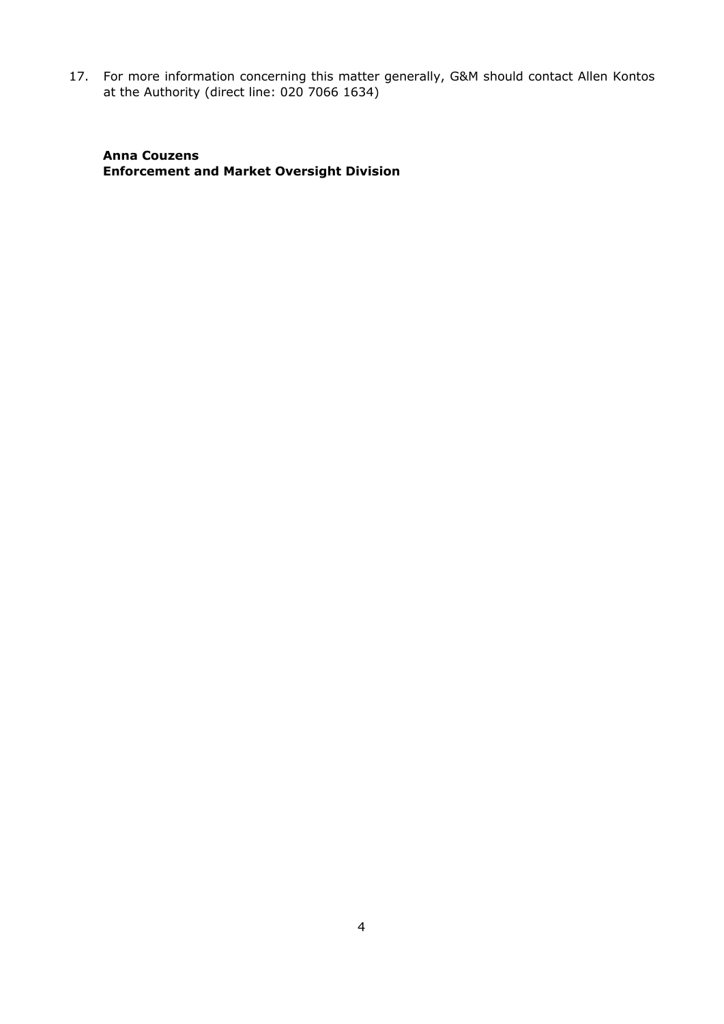17. For more information concerning this matter generally, G&M should contact Allen Kontos at the Authority (direct line: 020 7066 1634)

**Anna Couzens Enforcement and Market Oversight Division**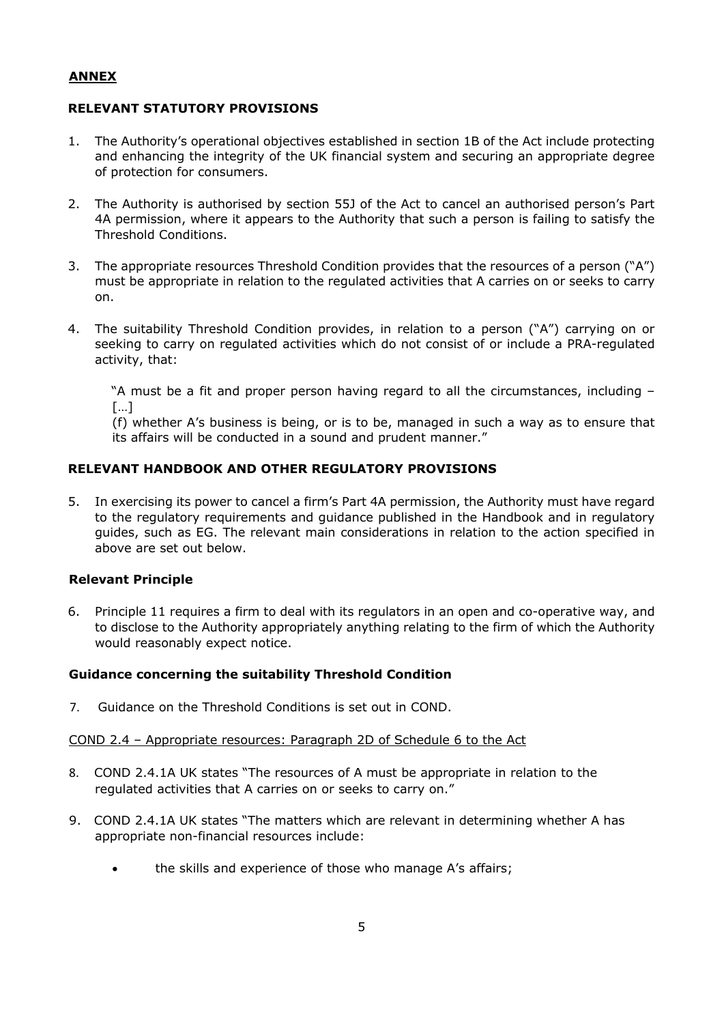## **ANNEX**

## **RELEVANT STATUTORY PROVISIONS**

- 1. The Authority's operational objectives established in section 1B of the Act include protecting and enhancing the integrity of the UK financial system and securing an appropriate degree of protection for consumers.
- 2. The Authority is authorised by section 55J of the Act to cancel an authorised person's Part 4A permission, where it appears to the Authority that such a person is failing to satisfy the Threshold Conditions.
- 3. The appropriate resources Threshold Condition provides that the resources of a person ("A") must be appropriate in relation to the regulated activities that A carries on or seeks to carry on.
- 4. The suitability Threshold Condition provides, in relation to a person ("A") carrying on or seeking to carry on regulated activities which do not consist of or include a PRA-regulated activity, that:

"A must be a fit and proper person having regard to all the circumstances, including – […]

(f) whether A's business is being, or is to be, managed in such a way as to ensure that its affairs will be conducted in a sound and prudent manner."

## **RELEVANT HANDBOOK AND OTHER REGULATORY PROVISIONS**

5. In exercising its power to cancel a firm's Part 4A permission, the Authority must have regard to the regulatory requirements and guidance published in the Handbook and in regulatory guides, such as EG. The relevant main considerations in relation to the action specified in above are set out below.

#### **Relevant Principle**

6. Principle 11 requires a firm to deal with its regulators in an open and co-operative way, and to disclose to the Authority appropriately anything relating to the firm of which the Authority would reasonably expect notice.

#### **Guidance concerning the suitability Threshold Condition**

7. Guidance on the Threshold Conditions is set out in COND.

#### COND 2.4 – Appropriate resources: Paragraph 2D of Schedule 6 to the Act

- 8. COND 2.4.1A UK states "The resources of A must be appropriate in relation to the regulated activities that A carries on or seeks to carry on."
- 9. COND 2.4.1A UK states "The matters which are relevant in determining whether A has appropriate non-financial resources include:
	- the skills and experience of those who manage A's affairs;